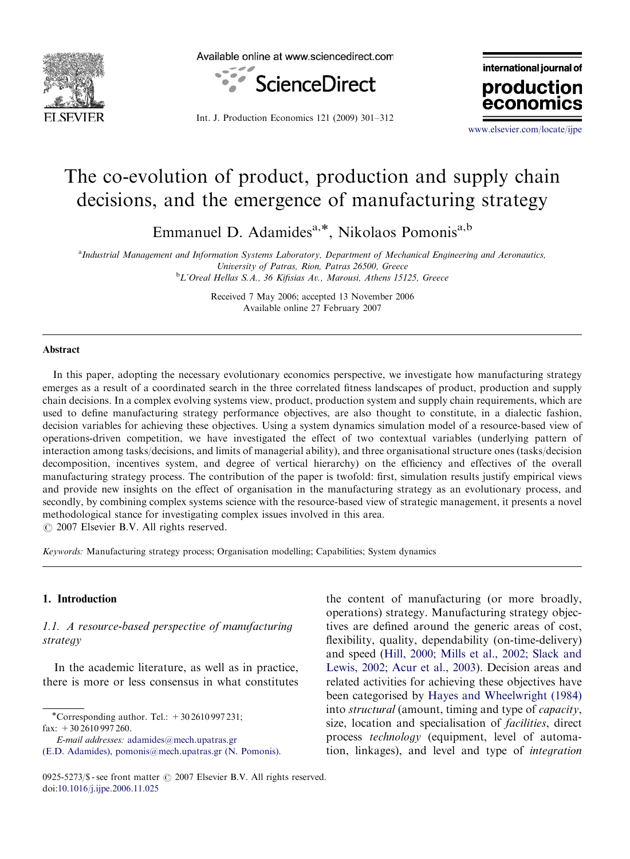

Available online at www.sciencedirect.com



international journal of production

Int. J. Production Economics 121 (2009) 301–312

<www.elsevier.com/locate/ijpe>

econor

# The co-evolution of product, production and supply chain decisions, and the emergence of manufacturing strategy

Emmanuel D. Adamides<sup>a,\*</sup>, Nikolaos Pomonis<sup>a,b</sup>

a Industrial Management and Information Systems Laboratory, Department of Mechanical Engineering and Aeronautics, University of Patras, Rion, Patras 26500, Greece

<sup>b</sup>L'Oreal Hellas S.A., 36 Kifisias Av., Marousi, Athens 15125, Greece

Received 7 May 2006; accepted 13 November 2006 Available online 27 February 2007

#### Abstract

In this paper, adopting the necessary evolutionary economics perspective, we investigate how manufacturing strategy emerges as a result of a coordinated search in the three correlated fitness landscapes of product, production and supply chain decisions. In a complex evolving systems view, product, production system and supply chain requirements, which are used to define manufacturing strategy performance objectives, are also thought to constitute, in a dialectic fashion, decision variables for achieving these objectives. Using a system dynamics simulation model of a resource-based view of operations-driven competition, we have investigated the effect of two contextual variables (underlying pattern of interaction among tasks/decisions, and limits of managerial ability), and three organisational structure ones (tasks/decision decomposition, incentives system, and degree of vertical hierarchy) on the efficiency and effectives of the overall manufacturing strategy process. The contribution of the paper is twofold: first, simulation results justify empirical views and provide new insights on the effect of organisation in the manufacturing strategy as an evolutionary process, and secondly, by combining complex systems science with the resource-based view of strategic management, it presents a novel methodological stance for investigating complex issues involved in this area.  $O$  2007 Elsevier B.V. All rights reserved.

Keywords: Manufacturing strategy process; Organisation modelling; Capabilities; System dynamics

#### 1. Introduction

### 1.1. A resource-based perspective of manufacturing strategy

In the academic literature, as well as in practice, there is more or less consensus in what constitutes

\*Corresponding author. Tel.:  $+302610997231$ ; fax:  $+30\,2610\,997\,260$ .

the content of manufacturing (or more broadly, operations) strategy. Manufacturing strategy objectives are defined around the generic areas of cost, flexibility, quality, dependability (on-time-delivery) and speed [\(Hill, 2000; Mills et al., 2002; Slack and](#page--1-0) [Lewis, 2002; Acur et al., 2003](#page--1-0)). Decision areas and related activities for achieving these objectives have been categorised by [Hayes and Wheelwright \(1984\)](#page--1-0) into structural (amount, timing and type of capacity, size, location and specialisation of *facilities*, direct process technology (equipment, level of automation, linkages), and level and type of integration

E-mail addresses: [adamides@mech.upatras.gr](mailto:adamides@mech.upatras.gr)

[<sup>\(</sup>E.D. Adamides\)](mailto:adamides@mech.upatras.gr), [pomonis@mech.upatras.gr \(N. Pomonis\).](mailto:pomonis@mech.upatras.gr)

<sup>0925-5273/\$ -</sup> see front matter  $\odot$  2007 Elsevier B.V. All rights reserved. doi:[10.1016/j.ijpe.2006.11.025](dx.doi.org/10.1016/j.ijpe.2006.11.025)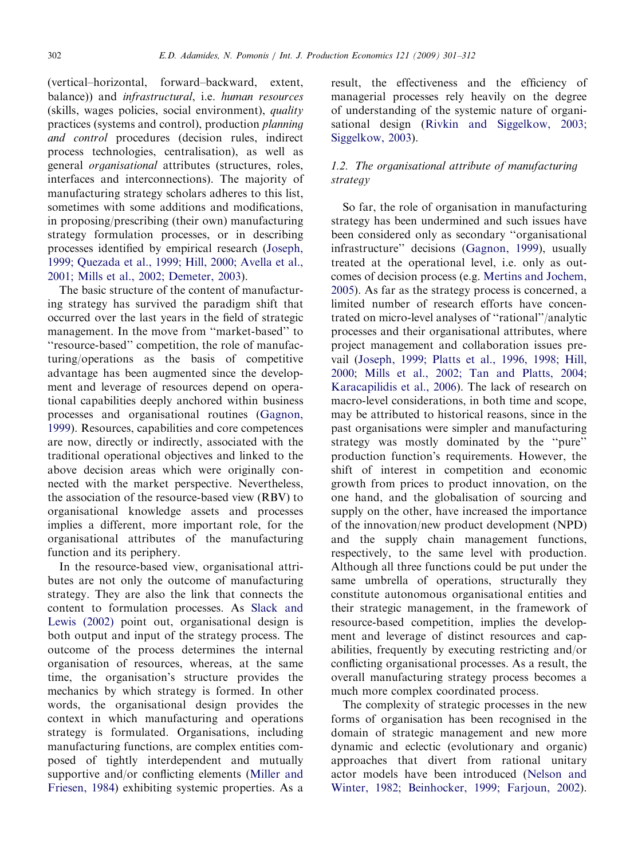(vertical–horizontal, forward–backward, extent, balance)) and infrastructural, i.e. human resources (skills, wages policies, social environment), quality practices (systems and control), production planning and control procedures (decision rules, indirect process technologies, centralisation), as well as general organisational attributes (structures, roles, interfaces and interconnections). The majority of manufacturing strategy scholars adheres to this list, sometimes with some additions and modifications, in proposing/prescribing (their own) manufacturing strategy formulation processes, or in describing processes identified by empirical research ([Joseph,](#page--1-0) [1999; Quezada et al., 1999; Hill, 2000; Avella et al.,](#page--1-0) [2001; Mills et al., 2002; Demeter, 2003](#page--1-0)).

The basic structure of the content of manufacturing strategy has survived the paradigm shift that occurred over the last years in the field of strategic management. In the move from ''market-based'' to ''resource-based'' competition, the role of manufacturing/operations as the basis of competitive advantage has been augmented since the development and leverage of resources depend on operational capabilities deeply anchored within business processes and organisational routines ([Gagnon,](#page--1-0) [1999](#page--1-0)). Resources, capabilities and core competences are now, directly or indirectly, associated with the traditional operational objectives and linked to the above decision areas which were originally connected with the market perspective. Nevertheless, the association of the resource-based view (RBV) to organisational knowledge assets and processes implies a different, more important role, for the organisational attributes of the manufacturing function and its periphery.

In the resource-based view, organisational attributes are not only the outcome of manufacturing strategy. They are also the link that connects the content to formulation processes. As [Slack and](#page--1-0) [Lewis \(2002\)](#page--1-0) point out, organisational design is both output and input of the strategy process. The outcome of the process determines the internal organisation of resources, whereas, at the same time, the organisation's structure provides the mechanics by which strategy is formed. In other words, the organisational design provides the context in which manufacturing and operations strategy is formulated. Organisations, including manufacturing functions, are complex entities composed of tightly interdependent and mutually supportive and/or conflicting elements ([Miller and](#page--1-0) [Friesen, 1984](#page--1-0)) exhibiting systemic properties. As a

result, the effectiveness and the efficiency of managerial processes rely heavily on the degree of understanding of the systemic nature of organisational design [\(Rivkin and Siggelkow, 2003;](#page--1-0) [Siggelkow, 2003\)](#page--1-0).

### 1.2. The organisational attribute of manufacturing strategy

So far, the role of organisation in manufacturing strategy has been undermined and such issues have been considered only as secondary ''organisational infrastructure'' decisions ([Gagnon, 1999\)](#page--1-0), usually treated at the operational level, i.e. only as outcomes of decision process (e.g. [Mertins and Jochem,](#page--1-0) [2005](#page--1-0)). As far as the strategy process is concerned, a limited number of research efforts have concentrated on micro-level analyses of ''rational''/analytic processes and their organisational attributes, where project management and collaboration issues prevail ([Joseph, 1999; Platts et al., 1996, 1998; Hill,](#page--1-0) [2000](#page--1-0); [Mills et al., 2002; Tan and Platts, 2004;](#page--1-0) [Karacapilidis et al., 2006\)](#page--1-0). The lack of research on macro-level considerations, in both time and scope, may be attributed to historical reasons, since in the past organisations were simpler and manufacturing strategy was mostly dominated by the ''pure'' production function's requirements. However, the shift of interest in competition and economic growth from prices to product innovation, on the one hand, and the globalisation of sourcing and supply on the other, have increased the importance of the innovation/new product development (NPD) and the supply chain management functions, respectively, to the same level with production. Although all three functions could be put under the same umbrella of operations, structurally they constitute autonomous organisational entities and their strategic management, in the framework of resource-based competition, implies the development and leverage of distinct resources and capabilities, frequently by executing restricting and/or conflicting organisational processes. As a result, the overall manufacturing strategy process becomes a much more complex coordinated process.

The complexity of strategic processes in the new forms of organisation has been recognised in the domain of strategic management and new more dynamic and eclectic (evolutionary and organic) approaches that divert from rational unitary actor models have been introduced ([Nelson and](#page--1-0) [Winter, 1982; Beinhocker, 1999; Farjoun, 2002](#page--1-0)).